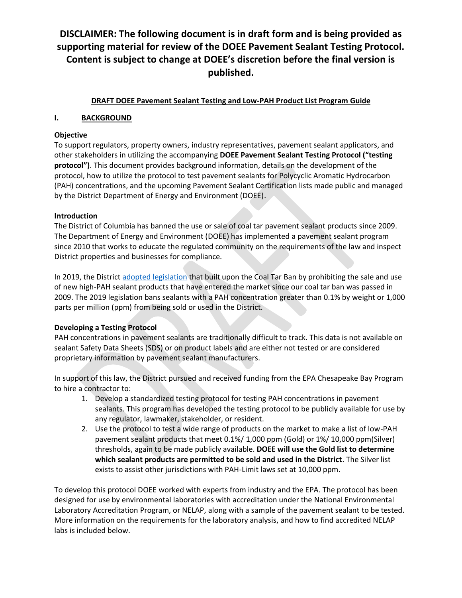#### **DRAFT DOEE Pavement Sealant Testing and Low-PAH Product List Program Guide**

#### **I. BACKGROUND**

#### **Objective**

To support regulators, property owners, industry representatives, pavement sealant applicators, and other stakeholders in utilizing the accompanying **DOEE Pavement Sealant Testing Protocol ("testing protocol")**. This document provides background information, details on the development of the protocol, how to utilize the protocol to test pavement sealants for Polycyclic Aromatic Hydrocarbon (PAH) concentrations, and the upcoming Pavement Sealant Certification lists made public and managed by the District Department of Energy and Environment (DOEE).

#### **Introduction**

The District of Columbia has banned the use or sale of coal tar pavement sealant products since 2009. The Department of Energy and Environment (DOEE) has implemented a pavement sealant program since 2010 that works to educate the regulated community on the requirements of the law and inspect District properties and businesses for compliance.

In 2019, the District [adopted legislation](https://doee.dc.gov/node/1417266) that built upon the Coal Tar Ban by prohibiting the sale and use of new high-PAH sealant products that have entered the market since our coal tar ban was passed in 2009. The 2019 legislation bans sealants with a PAH concentration greater than 0.1% by weight or 1,000 parts per million (ppm) from being sold or used in the District.

### **Developing a Testing Protocol**

PAH concentrations in pavement sealants are traditionally difficult to track. This data is not available on sealant Safety Data Sheets (SDS) or on product labels and are either not tested or are considered proprietary information by pavement sealant manufacturers.

In support of this law, the District pursued and received funding from the EPA Chesapeake Bay Program to hire a contractor to:

- 1. Develop a standardized testing protocol for testing PAH concentrations in pavement sealants. This program has developed the testing protocol to be publicly available for use by any regulator, lawmaker, stakeholder, or resident.
- 2. Use the protocol to test a wide range of products on the market to make a list of low-PAH pavement sealant products that meet 0.1%/ 1,000 ppm (Gold) or 1%/ 10,000 ppm(Silver) thresholds, again to be made publicly available. **DOEE will use the Gold list to determine which sealant products are permitted to be sold and used in the District**. The Silver list exists to assist other jurisdictions with PAH-Limit laws set at 10,000 ppm.

To develop this protocol DOEE worked with experts from industry and the EPA. The protocol has been designed for use by environmental laboratories with accreditation under the National Environmental Laboratory Accreditation Program, or NELAP, along with a sample of the pavement sealant to be tested. More information on the requirements for the laboratory analysis, and how to find accredited NELAP labs is included below.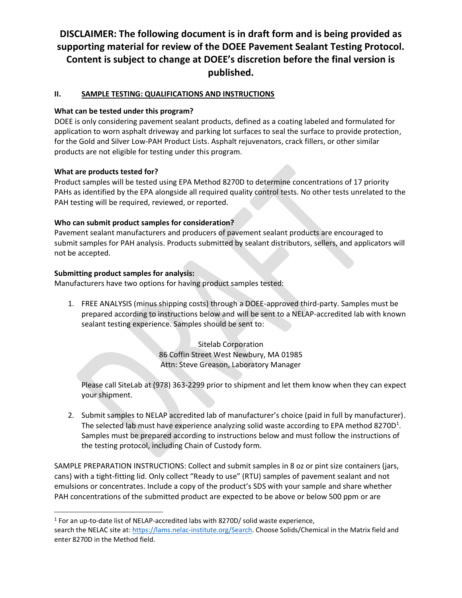### **II. SAMPLE TESTING: QUALIFICATIONS AND INSTRUCTIONS**

### **What can be tested under this program?**

DOEE is only considering pavement sealant products, defined as a coating labeled and formulated for application to worn asphalt driveway and parking lot surfaces to seal the surface to provide protection, for the Gold and Silver Low-PAH Product Lists. Asphalt rejuvenators, crack fillers, or other similar products are not eligible for testing under this program.

#### **What are products tested for?**

Product samples will be tested using EPA Method 8270D to determine concentrations of 17 priority PAHs as identified by the EPA alongside all required quality control tests. No other tests unrelated to the PAH testing will be required, reviewed, or reported.

#### **Who can submit product samples for consideration?**

Pavement sealant manufacturers and producers of pavement sealant products are encouraged to submit samples for PAH analysis. Products submitted by sealant distributors, sellers, and applicators will not be accepted.

#### **Submitting product samples for analysis:**

Manufacturers have two options for having product samples tested:

1. FREE ANALYSIS (minus shipping costs) through a DOEE-approved third-party. Samples must be prepared according to instructions below and will be sent to a NELAP-accredited lab with known sealant testing experience. Samples should be sent to:

> Sitelab Corporation 86 Coffin Street West Newbury, MA 01985 Attn: Steve Greason, Laboratory Manager

Please call SiteLab at (978) 363-2299 prior to shipment and let them know when they can expect your shipment.

2. Submit samples to NELAP accredited lab of manufacturer's choice (paid in full by manufacturer). The selected lab must have experience analyzing solid waste according to EPA method 8270D<sup>1</sup>. Samples must be prepared according to instructions below and must follow the instructions of the testing protocol, including Chain of Custody form.

SAMPLE PREPARATION INSTRUCTIONS: Collect and submit samples in 8 oz or pint size containers (jars, cans) with a tight-fitting lid. Only collect "Ready to use" (RTU) samples of pavement sealant and not emulsions or concentrates. Include a copy of the product's SDS with your sample and share whether PAH concentrations of the submitted product are expected to be above or below 500 ppm or are

 $<sup>1</sup>$  For an up-to-date list of NELAP-accredited labs with 8270D/ solid waste experience,</sup> search the NELAC site at[: https://lams.nelac-institute.org/Search.](https://lams.nelac-institute.org/Search) Choose Solids/Chemical in the Matrix field and enter 8270D in the Method field.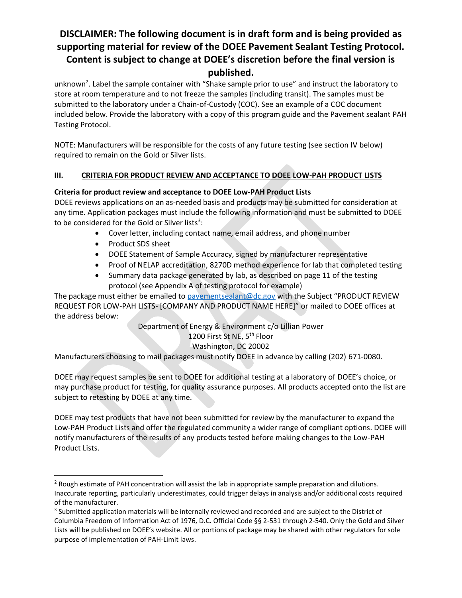unknown<sup>2</sup>. Label the sample container with "Shake sample prior to use" and instruct the laboratory to store at room temperature and to not freeze the samples (including transit). The samples must be submitted to the laboratory under a Chain-of-Custody (COC). See an example of a COC document included below. Provide the laboratory with a copy of this program guide and the Pavement sealant PAH Testing Protocol.

NOTE: Manufacturers will be responsible for the costs of any future testing (see section IV below) required to remain on the Gold or Silver lists.

## **III. CRITERIA FOR PRODUCT REVIEW AND ACCEPTANCE TO DOEE LOW-PAH PRODUCT LISTS**

## **Criteria for product review and acceptance to DOEE Low-PAH Product Lists**

DOEE reviews applications on an as-needed basis and products may be submitted for consideration at any time. Application packages must include the following information and must be submitted to DOEE to be considered for the Gold or Silver lists $^3$ :

- Cover letter, including contact name, email address, and phone number
- Product SDS sheet
- DOEE Statement of Sample Accuracy, signed by manufacturer representative
- Proof of NELAP accreditation, 8270D method experience for lab that completed testing
- Summary data package generated by lab, as described on page 11 of the testing protocol (see Appendix A of testing protocol for example)

The package must either be emailed to [pavementsealant@dc.gov](mailto:pavementsealant@dc.gov) with the Subject "PRODUCT REVIEW REQUEST FOR LOW-PAH LISTS- [COMPANY AND PRODUCT NAME HERE]" or mailed to DOEE offices at the address below:

> Department of Energy & Environment c/o Lillian Power 1200 First St NE, 5<sup>th</sup> Floor

### Washington, DC 20002

Manufacturers choosing to mail packages must notify DOEE in advance by calling (202) 671-0080.

DOEE may request samples be sent to DOEE for additional testing at a laboratory of DOEE's choice, or may purchase product for testing, for quality assurance purposes. All products accepted onto the list are subject to retesting by DOEE at any time.

DOEE may test products that have not been submitted for review by the manufacturer to expand the Low-PAH Product Lists and offer the regulated community a wider range of compliant options. DOEE will notify manufacturers of the results of any products tested before making changes to the Low-PAH Product Lists.

<sup>&</sup>lt;sup>2</sup> Rough estimate of PAH concentration will assist the lab in appropriate sample preparation and dilutions. Inaccurate reporting, particularly underestimates, could trigger delays in analysis and/or additional costs required of the manufacturer.

<sup>&</sup>lt;sup>3</sup> Submitted application materials will be internally reviewed and recorded and are subject to the District of Columbia Freedom of Information Act of 1976, D.C. Official Code §§ 2-531 through 2-540. Only the Gold and Silver Lists will be published on DOEE's website. All or portions of package may be shared with other regulators for sole purpose of implementation of PAH-Limit laws.